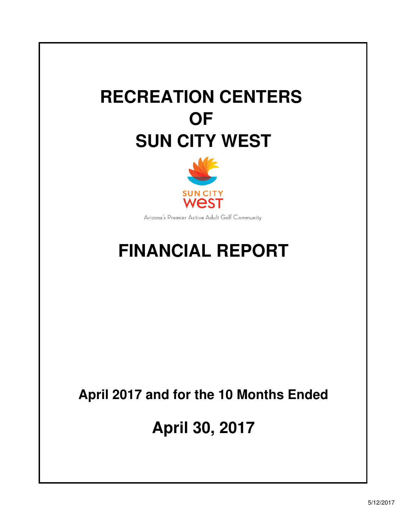# **RECREATION CENTERS OF SUN CITY WEST**



Arizona's Premier Active Adult Golf Community

# **FINANCIAL REPORT**

# **April 2017 and for the 10 Months Ended**

**April 30, 2017**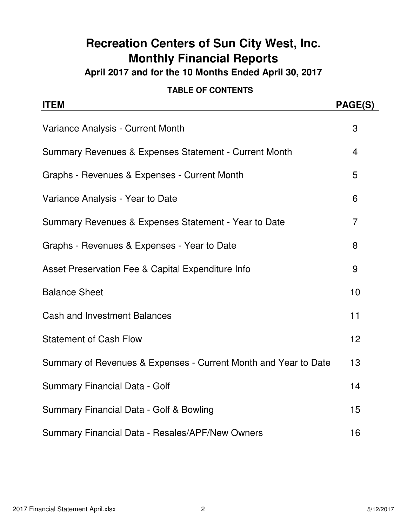# **Recreation Centers of Sun City West, Inc. Monthly Financial Reports**

**April 2017 and for the 10 Months Ended April 30, 2017**

#### **TABLE OF CONTENTS**

| <b>ITEM</b>                                                     | PAGE(S) |
|-----------------------------------------------------------------|---------|
| Variance Analysis - Current Month                               | 3       |
| Summary Revenues & Expenses Statement - Current Month           | 4       |
| Graphs - Revenues & Expenses - Current Month                    | 5       |
| Variance Analysis - Year to Date                                | 6       |
| Summary Revenues & Expenses Statement - Year to Date            | 7       |
| Graphs - Revenues & Expenses - Year to Date                     | 8       |
| Asset Preservation Fee & Capital Expenditure Info               | 9       |
| <b>Balance Sheet</b>                                            | 10      |
| <b>Cash and Investment Balances</b>                             | 11      |
| <b>Statement of Cash Flow</b>                                   | 12      |
| Summary of Revenues & Expenses - Current Month and Year to Date | 13      |
| Summary Financial Data - Golf                                   | 14      |
| Summary Financial Data - Golf & Bowling                         | 15      |
| Summary Financial Data - Resales/APF/New Owners                 | 16      |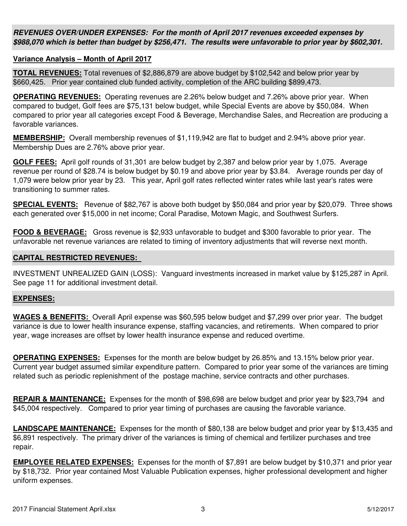**REVENUES OVER/UNDER EXPENSES: For the month of April 2017 revenues exceeded expenses by \$988,070 which is better than budget by \$256,471. The results were unfavorable to prior year by \$602,301.**

#### **Variance Analysis – Month of April 2017**

**TOTAL REVENUES:** Total revenues of \$2,886,879 are above budget by \$102,542 and below prior year by \$660,425. Prior year contained club funded activity, completion of the ARC building \$899,473.

**OPERATING REVENUES:** Operating revenues are 2.26% below budget and 7.26% above prior year. When compared to budget, Golf fees are \$75,131 below budget, while Special Events are above by \$50,084. When compared to prior year all categories except Food & Beverage, Merchandise Sales, and Recreation are producing a favorable variances.

**MEMBERSHIP:** Overall membership revenues of \$1,119,942 are flat to budget and 2.94% above prior year. Membership Dues are 2.76% above prior year.

**GOLF FEES:** April golf rounds of 31,301 are below budget by 2,387 and below prior year by 1,075. Average revenue per round of \$28.74 is below budget by \$0.19 and above prior year by \$3.84. Average rounds per day of 1,079 were below prior year by 23. This year, April golf rates reflected winter rates while last year's rates were transitioning to summer rates.

**SPECIAL EVENTS:** Revenue of \$82,767 is above both budget by \$50,084 and prior year by \$20,079. Three shows each generated over \$15,000 in net income; Coral Paradise, Motown Magic, and Southwest Surfers.

**FOOD & BEVERAGE:** Gross revenue is \$2,933 unfavorable to budget and \$300 favorable to prior year. The unfavorable net revenue variances are related to timing of inventory adjustments that will reverse next month.

#### **CAPITAL RESTRICTED REVENUES:**

INVESTMENT UNREALIZED GAIN (LOSS): Vanguard investments increased in market value by \$125,287 in April. See page 11 for additional investment detail.

#### **EXPENSES:**

**WAGES & BENEFITS:** Overall April expense was \$60,595 below budget and \$7,299 over prior year. The budget variance is due to lower health insurance expense, staffing vacancies, and retirements. When compared to prior year, wage increases are offset by lower health insurance expense and reduced overtime.

**OPERATING EXPENSES:** Expenses for the month are below budget by 26.85% and 13.15% below prior year. Current year budget assumed similar expenditure pattern. Compared to prior year some of the variances are timing related such as periodic replenishment of the postage machine, service contracts and other purchases.

**REPAIR & MAINTENANCE:** Expenses for the month of \$98,698 are below budget and prior year by \$23,794 and \$45,004 respectively. Compared to prior year timing of purchases are causing the favorable variance.

**LANDSCAPE MAINTENANCE:** Expenses for the month of \$80,138 are below budget and prior year by \$13,435 and \$6,891 respectively. The primary driver of the variances is timing of chemical and fertilizer purchases and tree repair.

**EMPLOYEE RELATED EXPENSES:** Expenses for the month of \$7,891 are below budget by \$10,371 and prior year by \$18,732. Prior year contained Most Valuable Publication expenses, higher professional development and higher uniform expenses.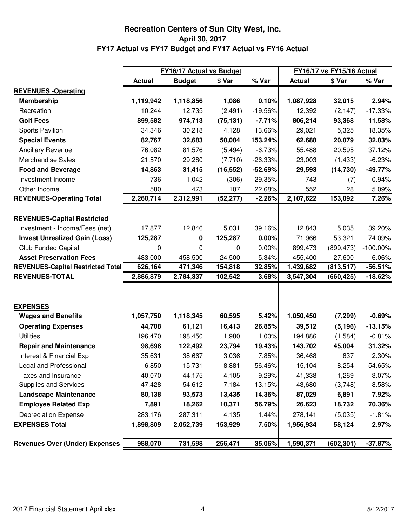#### **April 30, 2017 FY17 Actual vs FY17 Budget and FY17 Actual vs FY16 Actual Recreation Centers of Sun City West, Inc.**

|                                          |               | <b>FY16/17 Actual vs Budget</b> |           |           |               | <b>FY16/17 vs FY15/16 Actual</b> |             |
|------------------------------------------|---------------|---------------------------------|-----------|-----------|---------------|----------------------------------|-------------|
|                                          | <b>Actual</b> | <b>Budget</b>                   | \$ Var    | % Var     | <b>Actual</b> | \$ Var                           | % Var       |
| <b>REVENUES - Operating</b>              |               |                                 |           |           |               |                                  |             |
| <b>Membership</b>                        | 1,119,942     | 1,118,856                       | 1,086     | 0.10%     | 1,087,928     | 32,015                           | 2.94%       |
| Recreation                               | 10,244        | 12,735                          | (2, 491)  | $-19.56%$ | 12,392        | (2, 147)                         | $-17.33%$   |
| <b>Golf Fees</b>                         | 899,582       | 974,713                         | (75, 131) | $-7.71%$  | 806,214       | 93,368                           | 11.58%      |
| Sports Pavilion                          | 34,346        | 30,218                          | 4,128     | 13.66%    | 29,021        | 5,325                            | 18.35%      |
| <b>Special Events</b>                    | 82,767        | 32,683                          | 50,084    | 153.24%   | 62,688        | 20,079                           | 32.03%      |
| <b>Ancillary Revenue</b>                 | 76,082        | 81,576                          | (5, 494)  | $-6.73%$  | 55,488        | 20,595                           | 37.12%      |
| <b>Merchandise Sales</b>                 | 21,570        | 29,280                          | (7, 710)  | $-26.33%$ | 23,003        | (1, 433)                         | $-6.23%$    |
| <b>Food and Beverage</b>                 | 14,863        | 31,415                          | (16, 552) | $-52.69%$ | 29,593        | (14, 730)                        | $-49.77%$   |
| Investment Income                        | 736           | 1,042                           | (306)     | $-29.35%$ | 743           | (7)                              | $-0.94%$    |
| Other Income                             | 580           | 473                             | 107       | 22.68%    | 552           | 28                               | 5.09%       |
| <b>REVENUES-Operating Total</b>          | 2,260,714     | 2,312,991                       | (52, 277) | $-2.26%$  | 2,107,622     | 153,092                          | 7.26%       |
|                                          |               |                                 |           |           |               |                                  |             |
| <b>REVENUES-Capital Restricted</b>       |               |                                 |           |           |               |                                  |             |
| Investment - Income/Fees (net)           | 17,877        | 12,846                          | 5,031     | 39.16%    | 12,843        | 5,035                            | 39.20%      |
| <b>Invest Unrealized Gain (Loss)</b>     | 125,287       | 0                               | 125,287   | 0.00%     | 71,966        | 53,321                           | 74.09%      |
| <b>Club Funded Capital</b>               | 0             | 0                               | 0         | 0.00%     | 899,473       | (899, 473)                       | $-100.00\%$ |
| <b>Asset Preservation Fees</b>           | 483,000       | 458,500                         | 24,500    | 5.34%     | 455,400       | 27,600                           | 6.06%       |
| <b>REVENUES-Capital Restricted Total</b> | 626,164       | 471,346                         | 154,818   | 32.85%    | 1,439,682     | (813, 517)                       | $-56.51%$   |
| <b>REVENUES-TOTAL</b>                    | 2,886,879     | 2,784,337                       | 102,542   | 3.68%     | 3,547,304     | (660, 425)                       | $-18.62%$   |
|                                          |               |                                 |           |           |               |                                  |             |
|                                          |               |                                 |           |           |               |                                  |             |
| <b>EXPENSES</b>                          |               |                                 |           |           |               |                                  |             |
| <b>Wages and Benefits</b>                | 1,057,750     | 1,118,345                       | 60,595    | 5.42%     | 1,050,450     | (7, 299)                         | $-0.69%$    |
| <b>Operating Expenses</b>                | 44,708        | 61,121                          | 16,413    | 26.85%    | 39,512        | (5, 196)                         | $-13.15%$   |
| <b>Utilities</b>                         | 196,470       | 198,450                         | 1,980     | 1.00%     | 194,886       | (1,584)                          | $-0.81%$    |
| <b>Repair and Maintenance</b>            | 98,698        | 122,492                         | 23,794    | 19.43%    | 143,702       | 45,004                           | 31.32%      |
| Interest & Financial Exp                 | 35,631        | 38,667                          | 3,036     | 7.85%     | 36,468        | 837                              | 2.30%       |
| Legal and Professional                   | 6,850         | 15,731                          | 8,881     | 56.46%    | 15,104        | 8,254                            | 54.65%      |
| Taxes and Insurance                      | 40,070        | 44,175                          | 4,105     | 9.29%     | 41,338        | 1,269                            | 3.07%       |
| Supplies and Services                    | 47,428        | 54,612                          | 7,184     | 13.15%    | 43,680        | (3,748)                          | $-8.58%$    |
| <b>Landscape Maintenance</b>             | 80,138        | 93,573                          | 13,435    | 14.36%    | 87,029        | 6,891                            | 7.92%       |
| <b>Employee Related Exp</b>              | 7,891         | 18,262                          | 10,371    | 56.79%    | 26,623        | 18,732                           | 70.36%      |
| <b>Depreciation Expense</b>              | 283,176       | 287,311                         | 4,135     | 1.44%     | 278,141       | (5,035)                          | $-1.81%$    |
| <b>EXPENSES Total</b>                    | 1,898,809     | 2,052,739                       | 153,929   | 7.50%     | 1,956,934     | 58,124                           | 2.97%       |
| <b>Revenues Over (Under) Expenses</b>    | 988,070       | 731,598                         | 256,471   | 35.06%    | 1,590,371     | (602, 301)                       | $-37.87%$   |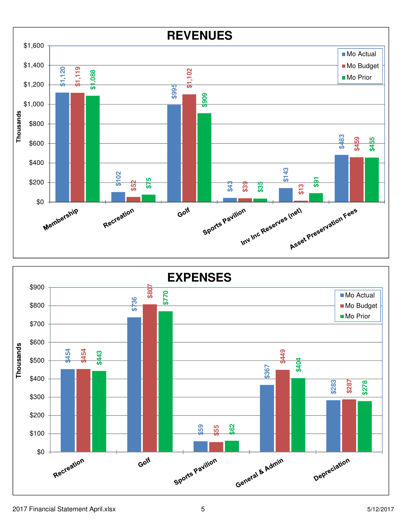

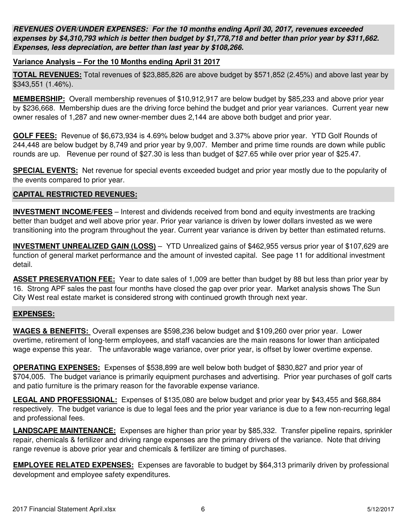**REVENUES OVER/UNDER EXPENSES: For the 10 months ending April 30, 2017, revenues exceeded expenses by \$4,310,793 which is better then budget by \$1,778,718 and better than prior year by \$311,662. Expenses, less depreciation, are better than last year by \$108,266.**

#### **Variance Analysis – For the 10 Months ending April 31 2017**

**TOTAL REVENUES:** Total revenues of \$23,885,826 are above budget by \$571,852 (2.45%) and above last year by \$343,551 (1.46%).

**MEMBERSHIP:** Overall membership revenues of \$10,912,917 are below budget by \$85,233 and above prior year by \$236,668. Membership dues are the driving force behind the budget and prior year variances. Current year new owner resales of 1,287 and new owner-member dues 2,144 are above both budget and prior year.

**GOLF FEES:** Revenue of \$6,673,934 is 4.69% below budget and 3.37% above prior year. YTD Golf Rounds of 244,448 are below budget by 8,749 and prior year by 9,007. Member and prime time rounds are down while public rounds are up. Revenue per round of \$27.30 is less than budget of \$27.65 while over prior year of \$25.47.

**SPECIAL EVENTS:** Net revenue for special events exceeded budget and prior year mostly due to the popularity of the events compared to prior year.

#### **CAPITAL RESTRICTED REVENUES:**

**INVESTMENT INCOME/FEES** – Interest and dividends received from bond and equity investments are tracking better than budget and well above prior year. Prior year variance is driven by lower dollars invested as we were transitioning into the program throughout the year. Current year variance is driven by better than estimated returns.

**INVESTMENT UNREALIZED GAIN (LOSS)** – YTD Unrealized gains of \$462,955 versus prior year of \$107,629 are function of general market performance and the amount of invested capital. See page 11 for additional investment detail.

**ASSET PRESERVATION FEE:** Year to date sales of 1,009 are better than budget by 88 but less than prior year by 16. Strong APF sales the past four months have closed the gap over prior year. Market analysis shows The Sun City West real estate market is considered strong with continued growth through next year.

#### **EXPENSES:**

**WAGES & BENEFITS:** Overall expenses are \$598,236 below budget and \$109,260 over prior year. Lower overtime, retirement of long-term employees, and staff vacancies are the main reasons for lower than anticipated wage expense this year. The unfavorable wage variance, over prior year, is offset by lower overtime expense.

**OPERATING EXPENSES:** Expenses of \$538,899 are well below both budget of \$830,827 and prior year of \$704,005. The budget variance is primarily equipment purchases and advertising. Prior year purchases of golf carts and patio furniture is the primary reason for the favorable expense variance.

**LEGAL AND PROFESSIONAL:** Expenses of \$135,080 are below budget and prior year by \$43,455 and \$68,884 respectively. The budget variance is due to legal fees and the prior year variance is due to a few non-recurring legal and professional fees.

**LANDSCAPE MAINTENANCE:** Expenses are higher than prior year by \$85,332. Transfer pipeline repairs, sprinkler repair, chemicals & fertilizer and driving range expenses are the primary drivers of the variance. Note that driving range revenue is above prior year and chemicals & fertilizer are timing of purchases.

**EMPLOYEE RELATED EXPENSES:** Expenses are favorable to budget by \$64,313 primarily driven by professional development and employee safety expenditures.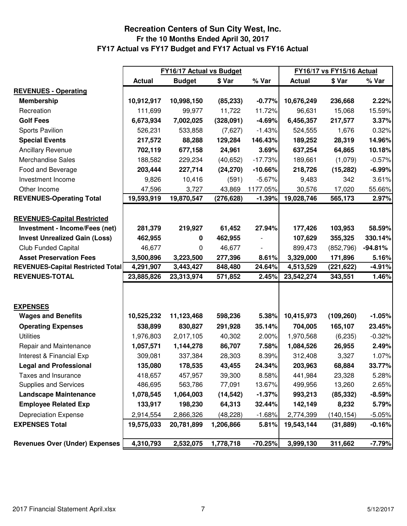#### **Fr the 10 Months Ended April 30, 2017 FY17 Actual vs FY17 Budget and FY17 Actual vs FY16 Actual Recreation Centers of Sun City West, Inc.**

|                                          |               | <b>FY16/17 Actual vs Budget</b> |            | <b>FY16/17 vs FY15/16 Actual</b> |               |            |           |
|------------------------------------------|---------------|---------------------------------|------------|----------------------------------|---------------|------------|-----------|
|                                          | <b>Actual</b> | <b>Budget</b>                   | \$ Var     | % Var                            | <b>Actual</b> | \$ Var     | % Var     |
| <b>REVENUES - Operating</b>              |               |                                 |            |                                  |               |            |           |
| <b>Membership</b>                        | 10,912,917    | 10,998,150                      | (85, 233)  | $-0.77%$                         | 10,676,249    | 236,668    | 2.22%     |
| Recreation                               | 111,699       | 99,977                          | 11,722     | 11.72%                           | 96,631        | 15,068     | 15.59%    |
| <b>Golf Fees</b>                         | 6,673,934     | 7,002,025                       | (328,091)  | $-4.69%$                         | 6,456,357     | 217,577    | 3.37%     |
| Sports Pavilion                          | 526,231       | 533,858                         | (7,627)    | $-1.43%$                         | 524,555       | 1,676      | 0.32%     |
| <b>Special Events</b>                    | 217,572       | 88,288                          | 129,284    | 146.43%                          | 189,252       | 28,319     | 14.96%    |
| <b>Ancillary Revenue</b>                 | 702,119       | 677,158                         | 24,961     | 3.69%                            | 637,254       | 64,865     | 10.18%    |
| <b>Merchandise Sales</b>                 | 188,582       | 229,234                         | (40, 652)  | $-17.73%$                        | 189,661       | (1,079)    | $-0.57%$  |
| Food and Beverage                        | 203,444       | 227,714                         | (24, 270)  | $-10.66%$                        | 218,726       | (15, 282)  | $-6.99%$  |
| Investment Income                        | 9,826         | 10,416                          | (591)      | $-5.67%$                         | 9,483         | 342        | 3.61%     |
| Other Income                             | 47,596        | 3,727                           | 43,869     | 1177.05%                         | 30,576        | 17,020     | 55.66%    |
| <b>REVENUES-Operating Total</b>          | 19,593,919    | 19,870,547                      | (276, 628) | $-1.39%$                         | 19,028,746    | 565,173    | 2.97%     |
|                                          |               |                                 |            |                                  |               |            |           |
| <b>REVENUES-Capital Restricted</b>       |               |                                 |            |                                  |               |            |           |
| Investment - Income/Fees (net)           | 281,379       | 219,927                         | 61,452     | 27.94%                           | 177,426       | 103,953    | 58.59%    |
| <b>Invest Unrealized Gain (Loss)</b>     | 462,955       | 0                               | 462,955    |                                  | 107,629       | 355,325    | 330.14%   |
| <b>Club Funded Capital</b>               | 46,677        | 0                               | 46,677     |                                  | 899,473       | (852, 796) | $-94.81%$ |
| <b>Asset Preservation Fees</b>           | 3,500,896     | 3,223,500                       | 277,396    | 8.61%                            | 3,329,000     | 171,896    | 5.16%     |
| <b>REVENUES-Capital Restricted Total</b> | 4,291,907     | 3,443,427                       | 848,480    | 24.64%                           | 4,513,529     | (221, 622) | $-4.91%$  |
| <b>REVENUES-TOTAL</b>                    | 23,885,826    | 23,313,974                      | 571,852    | 2.45%                            | 23,542,274    | 343,551    | 1.46%     |
|                                          |               |                                 |            |                                  |               |            |           |
|                                          |               |                                 |            |                                  |               |            |           |
| <b>EXPENSES</b>                          |               |                                 |            |                                  |               |            |           |
| <b>Wages and Benefits</b>                | 10,525,232    | 11,123,468                      | 598,236    | 5.38%                            | 10,415,973    | (109, 260) | $-1.05%$  |
| <b>Operating Expenses</b>                | 538,899       | 830,827                         | 291,928    | 35.14%                           | 704,005       | 165,107    | 23.45%    |
| <b>Utilities</b>                         | 1,976,803     | 2,017,105                       | 40,302     | 2.00%                            | 1,970,568     | (6, 235)   | $-0.32%$  |
| Repair and Maintenance                   | 1,057,571     | 1,144,278                       | 86,707     | 7.58%                            | 1,084,526     | 26,955     | 2.49%     |
| Interest & Financial Exp                 | 309,081       | 337,384                         | 28,303     | 8.39%                            | 312,408       | 3,327      | 1.07%     |
| <b>Legal and Professional</b>            | 135,080       | 178,535                         | 43,455     | 24.34%                           | 203,963       | 68,884     | 33.77%    |
| Taxes and Insurance                      | 418,657       | 457,957                         | 39,300     | 8.58%                            | 441,984       | 23,328     | 5.28%     |
| Supplies and Services                    | 486,695       | 563,786                         | 77,091     | 13.67%                           | 499,956       | 13,260     | 2.65%     |
| <b>Landscape Maintenance</b>             | 1,078,545     | 1,064,003                       | (14, 542)  | $-1.37%$                         | 993,213       | (85, 332)  | $-8.59%$  |
| <b>Employee Related Exp</b>              | 133,917       | 198,230                         | 64,313     | 32.44%                           | 142,149       | 8,232      | 5.79%     |
| <b>Depreciation Expense</b>              | 2,914,554     | 2,866,326                       | (48, 228)  | $-1.68%$                         | 2,774,399     | (140, 154) | $-5.05%$  |
| <b>EXPENSES Total</b>                    | 19,575,033    | 20,781,899                      | 1,206,866  | 5.81%                            | 19,543,144    | (31, 889)  | $-0.16%$  |
| <b>Revenues Over (Under) Expenses</b>    | 4,310,793     | 2,532,075                       | 1,778,718  | $-70.25%$                        | 3,999,130     | 311,662    | $-7.79%$  |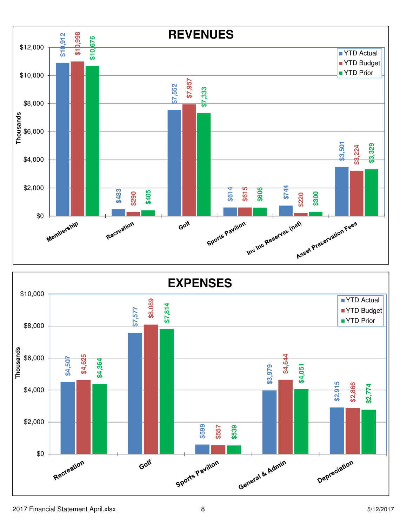

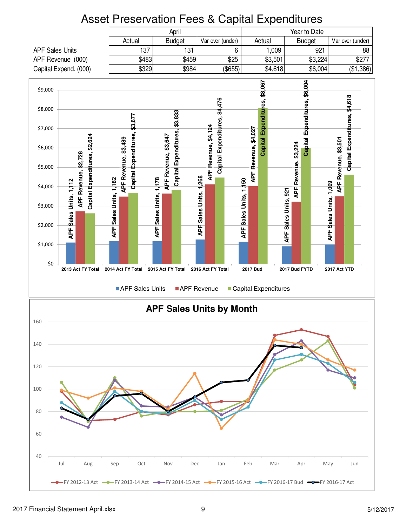## Asset Preservation Fees & Capital Expenditures

|                        | of Frocorvation Food a Capital Exportation<br>Year to Date<br>April<br>Actual<br>Actual<br><b>Budget</b><br>Var over (under)<br><b>Budget</b><br>Var over (under) |                               |                        |                      |               |                 |                         |                       |                                 |                    |                      |                       |         |                        |                      |               |                                                                                                            |                      |                               |         |                               |                               |           |
|------------------------|-------------------------------------------------------------------------------------------------------------------------------------------------------------------|-------------------------------|------------------------|----------------------|---------------|-----------------|-------------------------|-----------------------|---------------------------------|--------------------|----------------------|-----------------------|---------|------------------------|----------------------|---------------|------------------------------------------------------------------------------------------------------------|----------------------|-------------------------------|---------|-------------------------------|-------------------------------|-----------|
|                        |                                                                                                                                                                   |                               |                        |                      |               |                 |                         |                       |                                 |                    |                      |                       |         |                        |                      |               |                                                                                                            |                      |                               |         |                               |                               |           |
| <b>APF Sales Units</b> |                                                                                                                                                                   |                               |                        |                      |               | 137             |                         |                       | 131                             |                    |                      |                       | 6       |                        |                      |               | 1,009                                                                                                      |                      |                               | 921     |                               |                               | 88        |
| APF Revenue (000)      |                                                                                                                                                                   |                               |                        |                      |               | \$483           |                         |                       | \$459                           |                    |                      |                       | \$25    |                        |                      |               | \$3,501                                                                                                    |                      |                               | \$3,224 |                               |                               | \$277     |
| Capital Expend. (000)  |                                                                                                                                                                   |                               |                        |                      |               | \$329           |                         |                       | \$984                           |                    |                      |                       | (\$655) |                        |                      |               | \$4,618                                                                                                    |                      |                               | \$6,004 |                               |                               | (\$1,386) |
| \$9,000                |                                                                                                                                                                   |                               |                        |                      |               |                 |                         |                       |                                 |                    |                      |                       |         |                        |                      | \$8,067       |                                                                                                            |                      |                               |         |                               |                               |           |
|                        |                                                                                                                                                                   |                               |                        |                      |               |                 |                         |                       |                                 |                    |                      |                       |         |                        |                      |               |                                                                                                            |                      | Capital Expenditures, \$6,004 |         |                               |                               |           |
| \$8,000                |                                                                                                                                                                   |                               |                        |                      |               |                 |                         |                       |                                 |                    |                      | \$4,476               |         |                        |                      | Expenditures, |                                                                                                            |                      |                               |         |                               | Capital Expenditures, \$4,618 |           |
|                        |                                                                                                                                                                   |                               |                        |                      | \$3,677       |                 |                         | \$3,833               |                                 |                    |                      |                       |         |                        |                      |               |                                                                                                            |                      |                               |         |                               |                               |           |
| \$7,000                |                                                                                                                                                                   |                               |                        |                      |               |                 |                         |                       |                                 |                    |                      |                       |         |                        |                      |               |                                                                                                            |                      |                               |         |                               |                               |           |
|                        |                                                                                                                                                                   |                               |                        |                      |               |                 |                         |                       |                                 |                    |                      |                       |         |                        |                      |               |                                                                                                            |                      |                               |         |                               |                               |           |
| \$6,000                |                                                                                                                                                                   |                               |                        |                      |               |                 |                         |                       |                                 |                    |                      |                       |         |                        |                      | Capital       |                                                                                                            |                      |                               |         |                               |                               |           |
| \$5,000                | \$2,728                                                                                                                                                           |                               |                        |                      | Expenditures, |                 | APF Revenue, \$3,647    | Capital Expenditures, |                                 |                    | APF Revenue, \$4,124 | Capital Expenditures, |         |                        | APF Revenue, \$4,027 |               |                                                                                                            |                      |                               |         |                               |                               |           |
|                        |                                                                                                                                                                   |                               |                        |                      |               |                 |                         |                       |                                 |                    |                      |                       |         |                        |                      |               |                                                                                                            |                      |                               |         |                               |                               |           |
| \$4,000                |                                                                                                                                                                   |                               |                        | APF Revenue, \$3,489 | Capital       |                 | 1,178                   |                       |                                 |                    |                      |                       |         |                        |                      |               |                                                                                                            | APF Revenue, \$3,224 |                               |         | APF Revenue, \$3,501<br>1,009 |                               |           |
|                        | <b>APF Revenue,</b><br>Units, 1,112                                                                                                                               | Capital Expenditures, \$2,624 |                        |                      |               |                 |                         |                       |                                 | Sales Units, 1,268 |                      |                       |         |                        |                      |               |                                                                                                            |                      |                               |         |                               |                               |           |
| \$3,000                |                                                                                                                                                                   |                               |                        |                      |               |                 |                         |                       |                                 |                    |                      |                       |         |                        |                      |               |                                                                                                            |                      |                               |         |                               |                               |           |
|                        | <b>Sales</b>                                                                                                                                                      |                               | APF Sales Units, 1,182 |                      |               |                 | <b>APF</b> Sales Units, |                       |                                 |                    |                      |                       |         | APF Sales Units, 1,150 |                      |               | APF Sales Units, 921                                                                                       |                      |                               |         | Sales Units,                  |                               |           |
| \$2,000                | APF                                                                                                                                                               |                               |                        |                      |               |                 |                         |                       |                                 | APF                |                      |                       |         |                        |                      |               |                                                                                                            |                      |                               |         | APF                           |                               |           |
| \$1,000                |                                                                                                                                                                   |                               |                        |                      |               |                 |                         |                       |                                 |                    |                      |                       |         |                        |                      |               |                                                                                                            |                      |                               |         |                               |                               |           |
|                        |                                                                                                                                                                   |                               |                        |                      |               |                 |                         |                       |                                 |                    |                      |                       |         |                        |                      |               |                                                                                                            |                      |                               |         |                               |                               |           |
| \$0                    | 2013 Act FY Total                                                                                                                                                 |                               | 2014 Act FY Total      |                      |               |                 | 2015 Act FY Total       |                       |                                 | 2016 Act FY Total  |                      |                       |         | <b>2017 Bud</b>        |                      |               |                                                                                                            |                      | 2017 Bud FYTD                 |         | 2017 Act YTD                  |                               |           |
|                        |                                                                                                                                                                   |                               |                        |                      |               |                 |                         |                       |                                 |                    |                      |                       |         |                        |                      |               |                                                                                                            |                      |                               |         |                               |                               |           |
|                        |                                                                                                                                                                   |                               |                        |                      |               | APF Sales Units |                         |                       | APF Revenue                     |                    |                      |                       |         |                        |                      |               | Capital Expenditures                                                                                       |                      |                               |         |                               |                               |           |
|                        |                                                                                                                                                                   |                               |                        |                      |               |                 |                         |                       |                                 |                    |                      |                       |         |                        |                      |               |                                                                                                            |                      |                               |         |                               |                               |           |
|                        |                                                                                                                                                                   |                               |                        |                      |               |                 |                         |                       | <b>APF Sales Units by Month</b> |                    |                      |                       |         |                        |                      |               |                                                                                                            |                      |                               |         |                               |                               |           |
| 160                    |                                                                                                                                                                   |                               |                        |                      |               |                 |                         |                       |                                 |                    |                      |                       |         |                        |                      |               |                                                                                                            |                      |                               |         |                               |                               |           |
|                        |                                                                                                                                                                   |                               |                        |                      |               |                 |                         |                       |                                 |                    |                      |                       |         |                        |                      |               |                                                                                                            |                      |                               |         |                               |                               |           |
| 140                    |                                                                                                                                                                   |                               |                        |                      |               |                 |                         |                       |                                 |                    |                      |                       |         |                        |                      |               |                                                                                                            |                      |                               |         |                               |                               |           |
|                        |                                                                                                                                                                   |                               |                        |                      |               |                 |                         |                       |                                 |                    |                      |                       |         |                        |                      |               |                                                                                                            |                      |                               |         |                               |                               |           |
| 120                    |                                                                                                                                                                   |                               |                        |                      |               |                 |                         |                       |                                 |                    |                      |                       |         |                        |                      |               |                                                                                                            |                      |                               |         |                               |                               |           |
|                        |                                                                                                                                                                   |                               |                        |                      |               |                 |                         |                       |                                 |                    |                      |                       |         |                        |                      |               |                                                                                                            |                      |                               |         |                               |                               |           |
| 100                    |                                                                                                                                                                   |                               |                        |                      |               |                 |                         |                       |                                 |                    |                      |                       |         |                        |                      |               |                                                                                                            |                      |                               |         |                               |                               |           |
|                        |                                                                                                                                                                   |                               |                        |                      |               |                 |                         |                       |                                 |                    |                      |                       |         |                        |                      |               |                                                                                                            |                      |                               |         |                               |                               |           |
| 80                     |                                                                                                                                                                   |                               |                        |                      |               |                 |                         |                       |                                 |                    |                      |                       |         |                        |                      |               |                                                                                                            |                      |                               |         |                               |                               |           |
|                        |                                                                                                                                                                   |                               |                        |                      |               |                 |                         |                       |                                 |                    |                      |                       |         |                        |                      |               |                                                                                                            |                      |                               |         |                               |                               |           |
| 60                     |                                                                                                                                                                   |                               |                        |                      |               |                 |                         |                       |                                 |                    |                      |                       |         |                        |                      |               |                                                                                                            |                      |                               |         |                               |                               |           |
|                        |                                                                                                                                                                   |                               |                        |                      |               |                 |                         |                       |                                 |                    |                      |                       |         |                        |                      |               |                                                                                                            |                      |                               |         |                               |                               |           |
| 40                     |                                                                                                                                                                   |                               |                        |                      |               |                 |                         |                       |                                 |                    |                      |                       |         |                        |                      |               |                                                                                                            |                      |                               |         |                               |                               |           |
|                        | Jul                                                                                                                                                               | Aug                           | Sep                    |                      |               | Oct             | Nov                     |                       | Dec                             |                    |                      | Jan                   |         | Feb                    |                      |               | Mar                                                                                                        |                      | Apr                           | May     |                               | Jun                           |           |
|                        |                                                                                                                                                                   |                               |                        |                      |               |                 |                         |                       |                                 |                    |                      |                       |         |                        |                      |               | • FY 2012-13 Act -• FY 2013-14 Act -• FY 2014-15 Act -• FY 2015-16 Act -• FY 2016-17 Bud -• FY 2016-17 Act |                      |                               |         |                               |                               |           |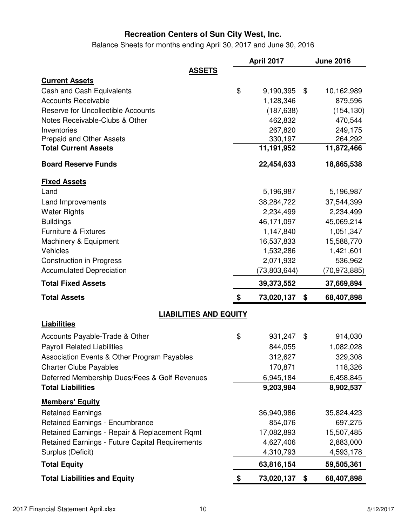Balance Sheets for months ending April 30, 2017 and June 30, 2016

|                                                         | April 2017            | <b>June 2016</b>      |
|---------------------------------------------------------|-----------------------|-----------------------|
| <b>ASSETS</b>                                           |                       |                       |
| <b>Current Assets</b>                                   |                       |                       |
| <b>Cash and Cash Equivalents</b>                        | \$<br>9,190,395       | \$<br>10,162,989      |
| <b>Accounts Receivable</b>                              | 1,128,346             | 879,596               |
| <b>Reserve for Uncollectible Accounts</b>               | (187, 638)            | (154, 130)            |
| Notes Receivable-Clubs & Other                          | 462,832               | 470,544               |
| Inventories                                             | 267,820               | 249,175               |
| Prepaid and Other Assets<br><b>Total Current Assets</b> | 330,197<br>11,191,952 | 264,292<br>11,872,466 |
|                                                         |                       |                       |
| <b>Board Reserve Funds</b>                              | 22,454,633            | 18,865,538            |
| <b>Fixed Assets</b>                                     |                       |                       |
| Land                                                    | 5,196,987             | 5,196,987             |
| Land Improvements                                       | 38,284,722            | 37,544,399            |
| <b>Water Rights</b>                                     | 2,234,499             | 2,234,499             |
| <b>Buildings</b>                                        | 46,171,097            | 45,069,214            |
| <b>Furniture &amp; Fixtures</b>                         | 1,147,840             | 1,051,347             |
| Machinery & Equipment                                   | 16,537,833            | 15,588,770            |
| Vehicles                                                | 1,532,286             | 1,421,601             |
| <b>Construction in Progress</b>                         | 2,071,932             | 536,962               |
| <b>Accumulated Depreciation</b>                         | (73, 803, 644)        | (70,973,885)          |
| <b>Total Fixed Assets</b>                               | 39,373,552            | 37,669,894            |
| <b>Total Assets</b>                                     | \$<br>73,020,137      | 68,407,898<br>\$      |
| <b>LIABILITIES AND EQUITY</b>                           |                       |                       |
| <b>Liabilities</b>                                      |                       |                       |
| Accounts Payable-Trade & Other                          | \$<br>931,247         | 914,030<br>\$         |
| <b>Payroll Related Liabilities</b>                      | 844,055               | 1,082,028             |
| Association Events & Other Program Payables             | 312,627               | 329,308               |
| <b>Charter Clubs Payables</b>                           | 170,871               | 118,326               |
| Deferred Membership Dues/Fees & Golf Revenues           | 6,945,184             | 6,458,845             |
| <b>Total Liabilities</b>                                | 9,203,984             | 8,902,537             |
| <b>Members' Equity</b>                                  |                       |                       |
| <b>Retained Earnings</b>                                | 36,940,986            | 35,824,423            |
| <b>Retained Earnings - Encumbrance</b>                  | 854,076               | 697,275               |
| Retained Earnings - Repair & Replacement Rqmt           | 17,082,893            | 15,507,485            |
| Retained Earnings - Future Capital Requirements         | 4,627,406             | 2,883,000             |
| Surplus (Deficit)                                       | 4,310,793             | 4,593,178             |
| <b>Total Equity</b>                                     | 63,816,154            | 59,505,361            |
| <b>Total Liabilities and Equity</b>                     | \$<br>73,020,137      | 68,407,898<br>\$      |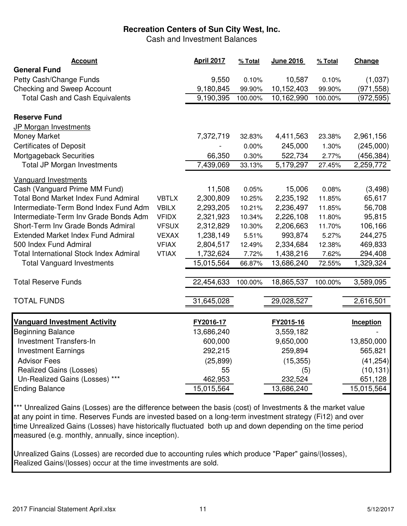Cash and Investment Balances

| <b>Account</b>                                 |              | April 2017 | % Total | June 2016  | % Total | Change           |
|------------------------------------------------|--------------|------------|---------|------------|---------|------------------|
| <b>General Fund</b>                            |              |            |         |            |         |                  |
| Petty Cash/Change Funds                        |              | 9,550      | 0.10%   | 10,587     | 0.10%   | (1,037)          |
| <b>Checking and Sweep Account</b>              |              | 9,180,845  | 99.90%  | 10,152,403 | 99.90%  | (971, 558)       |
| <b>Total Cash and Cash Equivalents</b>         |              | 9,190,395  | 100.00% | 10,162,990 | 100.00% | (972, 595)       |
| <b>Reserve Fund</b>                            |              |            |         |            |         |                  |
| JP Morgan Investments                          |              |            |         |            |         |                  |
| Money Market                                   |              | 7,372,719  | 32.83%  | 4,411,563  | 23.38%  | 2,961,156        |
| <b>Certificates of Deposit</b>                 |              |            | 0.00%   | 245,000    | 1.30%   | (245,000)        |
| Mortgageback Securities                        |              | 66,350     | 0.30%   | 522,734    | 2.77%   | (456, 384)       |
| <b>Total JP Morgan Investments</b>             |              | 7,439,069  | 33.13%  | 5,179,297  | 27.45%  | 2,259,772        |
| Vanguard Investments                           |              |            |         |            |         |                  |
| Cash (Vanguard Prime MM Fund)                  |              | 11,508     | 0.05%   | 15,006     | 0.08%   | (3, 498)         |
| <b>Total Bond Market Index Fund Admiral</b>    | <b>VBTLX</b> | 2,300,809  | 10.25%  | 2,235,192  | 11.85%  | 65,617           |
| Intermediate-Term Bond Index Fund Adm          | <b>VBILX</b> | 2,293,205  | 10.21%  | 2,236,497  | 11.85%  | 56,708           |
| Intermediate-Term Inv Grade Bonds Adm          | <b>VFIDX</b> | 2,321,923  | 10.34%  | 2,226,108  | 11.80%  | 95,815           |
| Short-Term Inv Grade Bonds Admiral             | <b>VFSUX</b> | 2,312,829  | 10.30%  | 2,206,663  | 11.70%  | 106,166          |
| <b>Extended Market Index Fund Admiral</b>      | <b>VEXAX</b> | 1,238,149  | 5.51%   | 993,874    | 5.27%   | 244,275          |
| 500 Index Fund Admiral                         | <b>VFIAX</b> | 2,804,517  | 12.49%  | 2,334,684  | 12.38%  | 469,833          |
| <b>Total International Stock Index Admiral</b> | <b>VTIAX</b> | 1,732,624  | 7.72%   | 1,438,216  | 7.62%   | 294,408          |
| <b>Total Vanguard Investments</b>              |              | 15,015,564 | 66.87%  | 13,686,240 | 72.55%  | 1,329,324        |
| <b>Total Reserve Funds</b>                     |              | 22,454,633 | 100.00% | 18,865,537 | 100.00% | 3,589,095        |
|                                                |              |            |         |            |         |                  |
| <b>TOTAL FUNDS</b>                             |              | 31,645,028 |         | 29,028,527 |         | 2,616,501        |
|                                                |              |            |         |            |         |                  |
| <b>Vanquard Investment Activity</b>            |              | FY2016-17  |         | FY2015-16  |         | <b>Inception</b> |
| <b>Beginning Balance</b>                       |              | 13,686,240 |         | 3,559,182  |         |                  |
| <b>Investment Transfers-In</b>                 |              | 600,000    |         | 9,650,000  |         | 13,850,000       |
| <b>Investment Earnings</b>                     |              | 292,215    |         | 259,894    |         | 565,821          |
| <b>Advisor Fees</b>                            |              | (25, 899)  |         | (15, 355)  |         | (41, 254)        |
| <b>Realized Gains (Losses)</b>                 |              | 55         |         | (5)        |         | (10, 131)        |
| Un-Realized Gains (Losses) ***                 |              | 462,953    |         | 232,524    |         | 651,128          |
| <b>Ending Balance</b>                          |              | 15,015,564 |         | 13,686,240 |         | 15,015,564       |

\*\*\* Unrealized Gains (Losses) are the difference between the basis (cost) of Investments & the market value at any point in time. Reserves Funds are invested based on a long-term investment strategy (Fi12) and over time Unrealized Gains (Losses) have historically fluctuated both up and down depending on the time period measured (e.g. monthly, annually, since inception).

Unrealized Gains (Losses) are recorded due to accounting rules which produce "Paper" gains/(losses), Realized Gains/(losses) occur at the time investments are sold.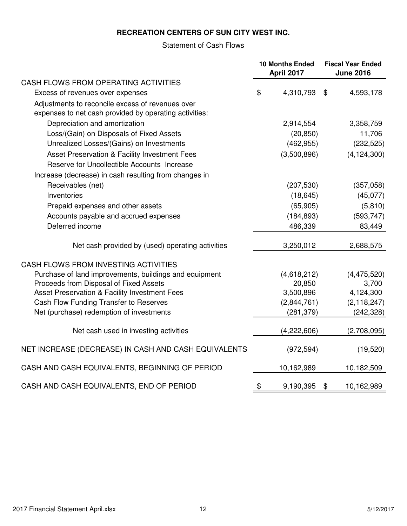#### **RECREATION CENTERS OF SUN CITY WEST INC.**

#### Statement of Cash Flows

|                                                                                                            | <b>10 Months Ended</b><br>April 2017 | <b>Fiscal Year Ended</b><br><b>June 2016</b> |
|------------------------------------------------------------------------------------------------------------|--------------------------------------|----------------------------------------------|
| CASH FLOWS FROM OPERATING ACTIVITIES                                                                       |                                      |                                              |
| Excess of revenues over expenses                                                                           | \$<br>4,310,793                      | \$<br>4,593,178                              |
| Adjustments to reconcile excess of revenues over<br>expenses to net cash provided by operating activities: |                                      |                                              |
| Depreciation and amortization                                                                              | 2,914,554                            | 3,358,759                                    |
| Loss/(Gain) on Disposals of Fixed Assets                                                                   | (20, 850)                            | 11,706                                       |
| Unrealized Losses/(Gains) on Investments                                                                   | (462, 955)                           | (232, 525)                                   |
| Asset Preservation & Facility Investment Fees                                                              | (3,500,896)                          | (4, 124, 300)                                |
| Reserve for Uncollectible Accounts Increase                                                                |                                      |                                              |
| Increase (decrease) in cash resulting from changes in                                                      |                                      |                                              |
| Receivables (net)                                                                                          | (207, 530)                           | (357,058)                                    |
| Inventories                                                                                                | (18, 645)                            | (45,077)                                     |
| Prepaid expenses and other assets                                                                          | (65, 905)                            | (5,810)                                      |
| Accounts payable and accrued expenses                                                                      | (184, 893)                           | (593, 747)                                   |
| Deferred income                                                                                            | 486,339                              | 83,449                                       |
| Net cash provided by (used) operating activities                                                           | 3,250,012                            | 2,688,575                                    |
| CASH FLOWS FROM INVESTING ACTIVITIES                                                                       |                                      |                                              |
| Purchase of land improvements, buildings and equipment                                                     | (4,618,212)                          | (4, 475, 520)                                |
| Proceeds from Disposal of Fixed Assets                                                                     | 20,850                               | 3,700                                        |
| Asset Preservation & Facility Investment Fees                                                              | 3,500,896                            | 4,124,300                                    |
| Cash Flow Funding Transfer to Reserves                                                                     | (2,844,761)                          | (2, 118, 247)                                |
| Net (purchase) redemption of investments                                                                   | (281, 379)                           | (242, 328)                                   |
| Net cash used in investing activities                                                                      | (4,222,606)                          | (2,708,095)                                  |
| NET INCREASE (DECREASE) IN CASH AND CASH EQUIVALENTS                                                       | (972, 594)                           | (19, 520)                                    |
| CASH AND CASH EQUIVALENTS, BEGINNING OF PERIOD                                                             | 10,162,989                           | 10,182,509                                   |
| CASH AND CASH EQUIVALENTS, END OF PERIOD                                                                   | \$<br>9,190,395                      | \$<br>10,162,989                             |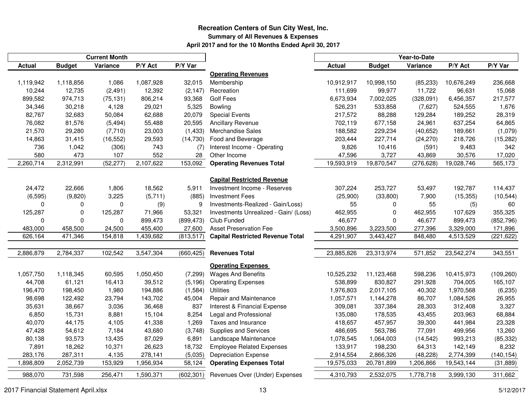#### **Recreation Centers of Sun City West, Inc.Summary of All Revenues & ExpensesApril 2017 and for the 10 Months Ended April 30, 2017**

|               |               | <b>Current Month</b> |           |            |                                         | Year-to-Date |               |            |            |            |  |  |
|---------------|---------------|----------------------|-----------|------------|-----------------------------------------|--------------|---------------|------------|------------|------------|--|--|
| <b>Actual</b> | <b>Budget</b> | Variance             | P/Y Act   | P/Y Var    |                                         | Actual       | <b>Budget</b> | Variance   | P/Y Act    | P/Y Var    |  |  |
|               |               |                      |           |            | <b>Operating Revenues</b>               |              |               |            |            |            |  |  |
| 1,119,942     | 1,118,856     | 1,086                | 1,087,928 | 32,015     | Membership                              | 10,912,917   | 10,998,150    | (85, 233)  | 10,676,249 | 236,668    |  |  |
| 10,244        | 12,735        | (2, 491)             | 12,392    | (2, 147)   | Recreation                              | 111,699      | 99,977        | 11,722     | 96,631     | 15,068     |  |  |
| 899,582       | 974,713       | (75, 131)            | 806,214   | 93,368     | Golf Fees                               | 6,673,934    | 7,002,025     | (328, 091) | 6,456,357  | 217,577    |  |  |
| 34,346        | 30,218        | 4,128                | 29,021    | 5,325      | Bowling                                 | 526,231      | 533,858       | (7,627)    | 524,555    | 1,676      |  |  |
| 82,767        | 32,683        | 50,084               | 62,688    | 20,079     | <b>Special Events</b>                   | 217,572      | 88,288        | 129,284    | 189,252    | 28,319     |  |  |
| 76,082        | 81,576        | (5, 494)             | 55,488    | 20,595     | Ancillary Revenue                       | 702,119      | 677,158       | 24,961     | 637,254    | 64,865     |  |  |
| 21,570        | 29,280        | (7, 710)             | 23,003    | (1, 433)   | Merchandise Sales                       | 188,582      | 229,234       | (40, 652)  | 189,661    | (1,079)    |  |  |
| 14,863        | 31,415        | (16, 552)            | 29,593    | (14, 730)  | Food and Beverage                       | 203,444      | 227,714       | (24, 270)  | 218,726    | (15, 282)  |  |  |
| 736           | 1,042         | (306)                | 743       | (7)        | Interest Income - Operating             | 9,826        | 10,416        | (591)      | 9,483      | 342        |  |  |
| 580           | 473           | 107                  | 552       | 28         | Other Income                            | 47,596       | 3,727         | 43,869     | 30,576     | 17,020     |  |  |
| 2,260,714     | 2,312,991     | (52, 277)            | 2,107,622 | 153,092    | <b>Operating Revenues Total</b>         | 19,593,919   | 19,870,547    | (276, 628) | 19,028,746 | 565,173    |  |  |
|               |               |                      |           |            |                                         |              |               |            |            |            |  |  |
|               |               |                      |           |            | <b>Capital Restricted Revenue</b>       |              |               |            |            |            |  |  |
| 24,472        | 22,666        | 1,806                | 18,562    | 5,911      | Investment Income - Reserves            | 307,224      | 253,727       | 53,497     | 192,787    | 114,437    |  |  |
| (6, 595)      | (9,820)       | 3,225                | (5,711)   | (885)      | <b>Investment Fees</b>                  | (25,900)     | (33,800)      | 7,900      | (15, 355)  | (10, 544)  |  |  |
| 0             | 0             | 0                    | (9)       | 9          | Investments-Realized - Gain/Loss)       | 55           | 0             | 55         | (5)        | 60         |  |  |
| 125,287       | 0             | 125,287              | 71,966    | 53,321     | Investments Unrealized - Gain/ (Loss)   | 462,955      | $\mathbf 0$   | 462,955    | 107,629    | 355,325    |  |  |
| 0             | $\Omega$      | 0                    | 899,473   | (899, 473) | Club Funded                             | 46,677       | 0             | 46,677     | 899,473    | (852, 796) |  |  |
| 483,000       | 458,500       | 24,500               | 455,400   | 27,600     | <b>Asset Preservation Fee</b>           | 3,500,896    | 3,223,500     | 277,396    | 3,329,000  | 171,896    |  |  |
| 626,164       | 471,346       | 154,818              | 1,439,682 | (813, 517) | <b>Capital Restricted Revenue Total</b> | 4,291,907    | 3,443,427     | 848,480    | 4,513,529  | (221, 622) |  |  |
|               |               |                      |           |            |                                         |              |               |            |            |            |  |  |
| 2,886,879     | 2,784,337     | 102,542              | 3,547,304 | (660, 425) | <b>Revenues Total</b>                   | 23,885,826   | 23,313,974    | 571,852    | 23,542,274 | 343,551    |  |  |
|               |               |                      |           |            | <b>Operating Expenses</b>               |              |               |            |            |            |  |  |
| 1,057,750     | 1,118,345     | 60,595               | 1,050,450 | (7, 299)   | <b>Wages And Benefits</b>               | 10,525,232   | 11,123,468    | 598,236    | 10,415,973 | (109, 260) |  |  |
| 44,708        | 61,121        | 16,413               | 39,512    | (5, 196)   | <b>Operating Expenses</b>               | 538,899      | 830,827       | 291,928    | 704,005    | 165,107    |  |  |
| 196,470       | 198,450       | 1,980                | 194,886   | (1, 584)   | <b>Utilities</b>                        | 1,976,803    | 2,017,105     | 40,302     | 1,970,568  | (6, 235)   |  |  |
| 98,698        | 122,492       | 23,794               | 143,702   | 45,004     | Repair and Maintenance                  | 1,057,571    | 1,144,278     | 86,707     | 1,084,526  | 26,955     |  |  |
| 35,631        | 38,667        | 3,036                | 36,468    | 837        | Interest & Financial Expense            | 309,081      | 337,384       | 28,303     | 312,408    | 3,327      |  |  |
| 6,850         | 15,731        | 8,881                | 15,104    | 8,254      | Legal and Professional                  | 135,080      | 178,535       | 43,455     | 203,963    | 68,884     |  |  |
| 40,070        | 44,175        | 4,105                | 41,338    | 1,269      | Taxes and Insurance                     | 418,657      | 457,957       | 39,300     | 441,984    | 23,328     |  |  |
| 47,428        | 54,612        | 7,184                | 43,680    | (3,748)    | Supplies and Services                   | 486,695      | 563,786       | 77,091     | 499,956    | 13,260     |  |  |
| 80,138        | 93,573        | 13,435               | 87,029    | 6,891      | Landscape Maintenance                   | 1,078,545    | 1,064,003     | (14, 542)  | 993,213    | (85, 332)  |  |  |
| 7,891         | 18,262        | 10,371               | 26,623    | 18,732     | <b>Employee Related Expenses</b>        | 133,917      | 198,230       | 64,313     | 142,149    | 8,232      |  |  |
| 283,176       | 287,311       | 4,135                | 278,141   | (5,035)    | <b>Depreciation Expense</b>             | 2,914,554    | 2,866,326     | (48, 228)  | 2,774,399  | (140, 154) |  |  |
| 1,898,809     | 2,052,739     | 153,929              | 1,956,934 | 58,124     | <b>Operating Expenses Total</b>         | 19,575,033   | 20,781,899    | 1,206,866  | 19,543,144 | (31, 889)  |  |  |
| 988,070       | 731,598       | 256,471              | 1,590,371 | (602, 301) | Revenues Over (Under) Expenses          | 4,310,793    | 2,532,075     | 1,778,718  | 3,999,130  | 311,662    |  |  |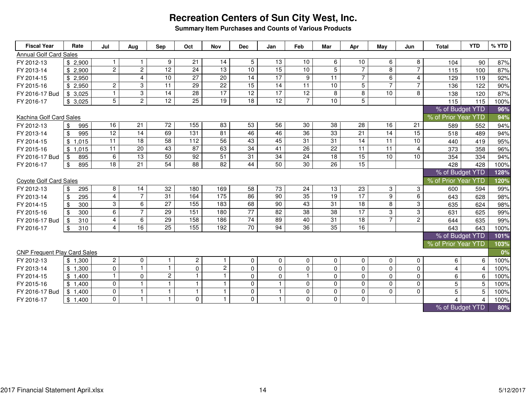**Summary Item Purchases and Counts of Various Products**

| <b>Fiscal Year</b>                  | Rate                    | Jul             | Aug            | Sep             | Oct                   | <b>Nov</b>      | <b>Dec</b>      | Jan             | Feb             | Mar             | Apr             | May            | Jun            | <b>Total</b>                           | <b>YTD</b>      | % YTD |
|-------------------------------------|-------------------------|-----------------|----------------|-----------------|-----------------------|-----------------|-----------------|-----------------|-----------------|-----------------|-----------------|----------------|----------------|----------------------------------------|-----------------|-------|
| <b>Annual Golf Card Sales</b>       |                         |                 |                |                 |                       |                 |                 |                 |                 |                 |                 |                |                |                                        |                 |       |
| FY 2012-13                          | \$2,900                 |                 | $\mathbf{1}$   | 9               | 21                    | 14              | 5               | 13              | 10              | 6               | 10              | 6              | 8              | 104                                    | 90              | 87%   |
| FY 2013-14                          | \$2,900                 | $\overline{c}$  | $\overline{2}$ | 12              | 24                    | 13              | 10              | 15              | 10              | $\overline{5}$  | $\overline{7}$  | 8              | $\overline{7}$ | 115                                    | 100             | 87%   |
| FY 2014-15                          | \$2,950                 |                 | $\overline{4}$ | 10              | 27                    | 20              | 14              | 17              | 9               | 11              | $\overline{7}$  | 6              | 4              | 129                                    | 119             | 92%   |
| FY 2015-16                          | \$2,950                 | $\overline{c}$  | 3              | 11              | $\overline{29}$       | 22              | $\overline{15}$ | 14              | 11              | 10              | 5               | $\overline{7}$ | $\overline{7}$ | 136                                    | 122             | 90%   |
| FY 2016-17 Bud                      | \$3,025                 | $\mathbf{1}$    | $\overline{3}$ | 14              | 28                    | $\overline{17}$ | 12              | 17              | $\overline{12}$ | $\overline{8}$  | $\overline{8}$  | 10             | 8              | 138                                    | 120             | 87%   |
| FY 2016-17                          | \$3,025                 | $\overline{5}$  | $\overline{2}$ | $\overline{12}$ | $\overline{25}$       | $\overline{19}$ | $\overline{18}$ | $\overline{12}$ | $\overline{7}$  | 10 <sup>1</sup> | $\overline{5}$  |                |                | 115                                    | 115             | 100%  |
|                                     |                         |                 |                |                 |                       |                 |                 |                 |                 |                 |                 |                |                | % of Budget YTD<br>% of Prior Year YTD |                 | 96%   |
|                                     | Kachina Golf Card Sales |                 |                |                 |                       |                 |                 |                 |                 |                 |                 |                |                |                                        |                 | 94%   |
| FY 2012-13                          | \$<br>995               | 16              | 21             | 72              | 155                   | 83              | 53              | 56              | 30              | 38              | 28              | 16             | 21             | 589                                    | 552             | 94%   |
| FY 2013-14                          | 995<br>\$               | $\overline{12}$ | 14             | 69              | 131                   | 81              | 46              | 46              | 36              | 33              | $\overline{21}$ | 14             | 15             | 518                                    | 489             | 94%   |
| FY 2014-15                          | \$1,015                 | 11              | 18             | 58              | 112                   | 56              | 43              | 45              | 31              | 31              | 14              | 11             | 10             | 440                                    | 419             | 95%   |
| FY 2015-16                          | \$1,015                 | 11              | 20             | 43              | 87                    | 63              | 34              | 41              | 26              | 22              | 11              | 11             | $\overline{4}$ | 373                                    | 358             | 96%   |
| FY 2016-17 Bud                      | 895<br>\$               | 6               | 13             | 50              | 92                    | 51              | 31              | 34              | 24              | 18              | 15              | 10             | 10             | 354                                    | 334             | 94%   |
| FY 2016-17                          | $\$\$<br>895            | $\overline{18}$ | 21             | $\overline{54}$ | 88                    | 82              | 44              | $\overline{50}$ | 30              | 26              | 15              |                |                | 428                                    | 428             | 100%  |
|                                     |                         |                 |                |                 |                       |                 |                 |                 |                 |                 |                 |                |                |                                        | % of Budget YTD | 128%  |
| <b>Covote Golf Card Sales</b>       |                         |                 |                |                 |                       |                 |                 |                 |                 |                 |                 |                |                | % of Prior Year YTD                    |                 | 120%  |
| FY 2012-13                          | \$<br>295               | 8               | 14             | 32              | 180                   | 169             | 58              | 73              | 24              | 13              | 23              | 3              | 3              | 600                                    | 594             | 99%   |
| FY 2013-14                          | 295<br>\$               | $\overline{4}$  | $\overline{7}$ | 31              | 164                   | 175             | 86              | 90              | 35              | 19              | 17              | 9              | 6              | 643                                    | 628             | 98%   |
| FY 2014-15                          | 300<br>\$               | 3               | 6              | 27              | 155                   | 183             | 68              | 90              | 43              | 31              | 18              | 8              | 3              | 635                                    | 624             | 98%   |
| FY 2015-16                          | \$<br>300               | 6               | $\overline{7}$ | 29              | 151                   | 180             | $\overline{77}$ | 82              | 38              | 38              | 17              | 3              | 3              | 631                                    | 625             | 99%   |
| FY 2016-17 Bud                      | 310<br>\$               | $\overline{4}$  | 6              | 29              | 158                   | 186             | $\overline{74}$ | 89              | 40              | 31              | 18              | $\overline{7}$ | $\overline{2}$ | 644                                    | 635             | 99%   |
| FY 2016-17                          | \$<br>310               | $\overline{4}$  | 16             | $\overline{25}$ | 155                   | 192             | 70              | 94              | $\overline{36}$ | $\overline{35}$ | 16              |                |                | 643                                    | 643             | 100%  |
|                                     |                         |                 |                |                 |                       |                 |                 |                 |                 |                 |                 |                |                | % of Budget YTD                        |                 | 101%  |
|                                     |                         |                 |                |                 |                       |                 |                 |                 |                 |                 |                 |                |                | % of Prior Year YTD                    |                 | 103%  |
| <b>CNP Frequent Play Card Sales</b> |                         |                 |                |                 |                       |                 |                 |                 |                 |                 |                 |                |                |                                        |                 | 0%    |
| FY 2012-13                          | \$1,300                 | $\overline{2}$  | $\mathbf 0$    | $\mathbf{1}$    | $\mathbf{2}^{\prime}$ | $\mathbf{1}$    | 0               | 0               | $\mathbf 0$     | 0               | 0               | $\mathbf{0}$   | 0              | 6                                      | 6               | 100%  |
| FY 2013-14                          | \$1,300                 | $\mathbf 0$     | $\mathbf{1}$   | $\mathbf{1}$    | $\mathbf 0$           | $\overline{2}$  | $\mathbf 0$     | $\overline{0}$  | $\mathbf 0$     | $\mathbf 0$     | $\mathbf 0$     | $\Omega$       | $\Omega$       | $\overline{4}$                         | 4               | 100%  |
| FY 2014-15                          | \$1,400                 | $\mathbf{1}$    | $\mathbf 0$    | $\mathbf{2}$    | $\mathbf{1}$          | $\mathbf{1}$    | $\mathbf 0$     | 0               | $\mathbf{1}$    | 0               | $\pmb{0}$       | $\mathbf{0}$   | $\mathbf 0$    | 6                                      | 6               | 100%  |
| FY 2015-16                          | \$1,400                 | $\mathbf 0$     | $\mathbf{1}$   | $\mathbf{1}$    | $\overline{1}$        | $\mathbf{1}$    | 0               | $\mathbf{1}$    | $\mathbf 0$     | $\mathbf 0$     | $\mathbf 0$     | $\Omega$       | $\Omega$       | 5                                      | 5               | 100%  |
| FY 2016-17 Bud                      | \$1,400                 | 0               | $\mathbf{1}$   | $\mathbf{1}$    | $\mathbf{1}$          | $\mathbf{1}$    | $\mathbf 0$     | $\mathbf{1}$    | $\mathbf 0$     | $\mathbf 0$     | 0               | $\Omega$       | $\Omega$       | 5                                      | $\overline{5}$  | 100%  |
| FY 2016-17                          | \$1,400                 | $\mathbf 0$     | $\mathbf{1}$   | $\mathbf{1}$    | $\Omega$              | $\overline{1}$  | $\mathbf{0}$    | 1               | $\mathbf{0}$    | $\Omega$        | $\Omega$        |                |                | $\Delta$                               | Δ               | 100%  |
|                                     |                         |                 |                |                 |                       |                 |                 |                 |                 |                 |                 |                |                | % of Budget YTD                        |                 | 80%   |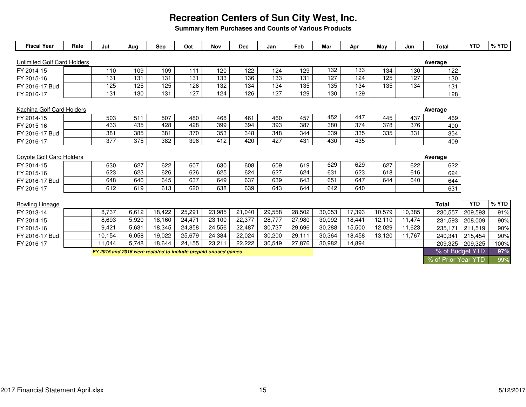**Summary Item Purchases and Counts of Various Products**

| <b>Fiscal Year</b>                 | Rate | Jul                                                            | Aug   | Sep    | Oct    | Nov    | <b>Dec</b>      | Jan              | Feb    | Mar    | Apr    | May              | Jun    | <b>Total</b>        | <b>YTD</b>      | % YTD |
|------------------------------------|------|----------------------------------------------------------------|-------|--------|--------|--------|-----------------|------------------|--------|--------|--------|------------------|--------|---------------------|-----------------|-------|
| <b>Unlimited Golf Card Holders</b> |      |                                                                |       |        |        |        |                 |                  |        |        |        |                  |        | Average             |                 |       |
| FY 2014-15                         |      | 110                                                            | 109   | 109    | 111    | 120    | 122             | 124              | 129    | 132    | 133    | 134              | 130    | 122                 |                 |       |
| FY 2015-16                         |      | 131                                                            | 131   | 131    | 131    | 133    | 136             | $\overline{133}$ | 131    | 127    | 124    | 125              | 127    | 130                 |                 |       |
| FY 2016-17 Bud                     |      | 125                                                            | 125   | 125    | 126    | 132    | 134             | 134              | 135    | 135    | 134    | 135              | 134    | 131                 |                 |       |
| FY 2016-17                         |      | 131                                                            | 130   | 131    | 127    | 124    | 126             | 127              | 129    | 130    | 129    |                  |        | 128                 |                 |       |
| <b>Kachina Golf Card Holders</b>   |      |                                                                |       |        |        |        |                 |                  |        |        |        |                  |        | Average             |                 |       |
| FY 2014-15                         |      | 503                                                            | 511   | 507    | 480    | 468    | 461             | 460              | 457    | 452    | 447    | 445              | 437    | 469                 |                 |       |
| FY 2015-16                         |      | 433                                                            | 435   | 428    | 428    | 399    | $\frac{1}{394}$ | 393              | 387    | 380    | 374    | $\overline{378}$ | 376    | 400                 |                 |       |
| FY 2016-17 Bud                     |      | 381                                                            | 385   | 381    | 370    | 353    | 348             | 348              | 344    | 339    | 335    | 335              | 331    | 354                 |                 |       |
| FY 2016-17                         |      | 377                                                            | 375   | 382    | 396    | 412    | 420             | 427              | 431    | 430    | 435    |                  |        | 409                 |                 |       |
| <b>Coyote Golf Card Holders</b>    |      |                                                                |       |        |        |        |                 |                  |        |        |        |                  |        | Average             |                 |       |
| FY 2014-15                         |      | 630                                                            | 627   | 622    | 607    | 630    | 608             | 609              | 619    | 629    | 629    | 627              | 622    | 622                 |                 |       |
| FY 2015-16                         |      | 623                                                            | 623   | 626    | 626    | 625    | 624             | 627              | 624    | 631    | 623    | 618              | 616    | 624                 |                 |       |
| FY 2016-17 Bud                     |      | 648                                                            | 646   | 645    | 637    | 649    | 637             | 639              | 643    | 651    | 647    | 644              | 640    | 644                 |                 |       |
| FY 2016-17                         |      | 612                                                            | 619   | 613    | 620    | 638    | 639             | 643              | 644    | 642    | 640    |                  |        | 631                 |                 |       |
| <b>Bowling Lineage</b>             |      |                                                                |       |        |        |        |                 |                  |        |        |        |                  |        | <b>Total</b>        | <b>YTD</b>      | % YTD |
| FY 2013-14                         |      | 8,737                                                          | 6,612 | 18,422 | 25,291 | 23,985 | 21,040          | 29,558           | 28,502 | 30,053 | 17,393 | 10,579           | 10.385 | 230,557             | 209,593         | 91%   |
| FY 2014-15                         |      | 8,693                                                          | 5,920 | 18,160 | 24,471 | 23,100 | 22,377          | 28,777           | 27,980 | 30,092 | 18,441 | 12,110           | 11,474 | 231,593             | 208,009         | 90%   |
| FY 2015-16                         |      | 9,421                                                          | 5,631 | 18,345 | 24,858 | 24,556 | 22,487          | 30,737           | 29,696 | 30,288 | 15,500 | 12,029           | 11,623 | 235,171             | 211,519         | 90%   |
| FY 2016-17 Bud                     |      | 10,154                                                         | 6,058 | 19,022 | 25,679 | 24,384 | 22,024          | 30,200           | 29,111 | 30,364 | 18,458 | 13,120           | 11.767 | 240,341             | 215,454         | 90%   |
| FY 2016-17                         |      | 11.044                                                         | 5.748 | 18,644 | 24,155 | 23,211 | 22,222          | 30,549           | 27,876 | 30,982 | 14,894 |                  |        |                     | 209,325 209,325 | 100%  |
|                                    |      | FY 2015 and 2016 were restated to include prepaid unused games |       |        |        |        |                 |                  |        |        |        |                  |        |                     | % of Budget YTD | 97%   |
|                                    |      |                                                                |       |        |        |        |                 |                  |        |        |        |                  |        | % of Prior Year YTD |                 | 99%   |